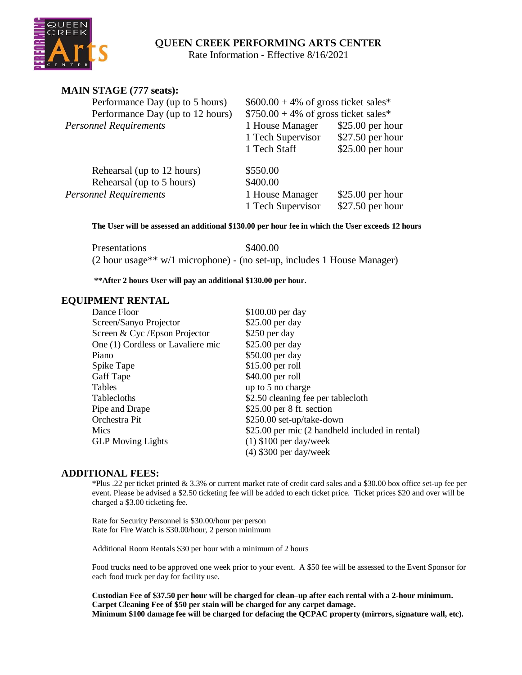# **QUEEN CREEK PERFORMING ARTS CENTER**

Rate Information - Effective 8/16/2021

| <b>MAIN STAGE (777 seats):</b>   |                                                                                  |                   |
|----------------------------------|----------------------------------------------------------------------------------|-------------------|
| Performance Day (up to 5 hours)  | $$600.00 + 4\%$ of gross ticket sales*<br>$$750.00 + 4\%$ of gross ticket sales* |                   |
| Performance Day (up to 12 hours) |                                                                                  |                   |
| <b>Personnel Requirements</b>    | 1 House Manager                                                                  | $$25.00$ per hour |
|                                  | 1 Tech Supervisor                                                                | \$27.50 per hour  |
|                                  | 1 Tech Staff                                                                     | $$25.00$ per hour |
| Rehearsal (up to 12 hours)       | \$550.00                                                                         |                   |
| Rehearsal (up to 5 hours)        | \$400.00                                                                         |                   |
| <b>Personnel Requirements</b>    | 1 House Manager                                                                  | $$25.00$ per hour |
|                                  | 1 Tech Supervisor                                                                | \$27.50 per hour  |

**The User will be assessed an additional \$130.00 per hour fee in which the User exceeds 12 hours**

Presentations \$400.00 (2 hour usage\*\* w/1 microphone) - (no set-up, includes 1 House Manager)

**\*\*After 2 hours User will pay an additional \$130.00 per hour.**

## **EQUIPMENT RENTAL**

| Dance Floor                       | \$100.00 per day                                |
|-----------------------------------|-------------------------------------------------|
| Screen/Sanyo Projector            | \$25.00 per day                                 |
| Screen & Cyc / Epson Projector    | \$250 per day                                   |
| One (1) Cordless or Lavaliere mic | \$25.00 per day                                 |
| Piano                             | \$50.00 per day                                 |
| Spike Tape                        | $$15.00$ per roll                               |
| Gaff Tape                         | $$40.00$ per roll                               |
| Tables                            | up to 5 no charge                               |
| Tablecloths                       | \$2.50 cleaning fee per tablecloth              |
| Pipe and Drape                    | $$25.00$ per 8 ft. section                      |
| Orchestra Pit                     | \$250.00 set-up/take-down                       |
| Mics                              | \$25.00 per mic (2 handheld included in rental) |
| <b>GLP</b> Moving Lights          | $(1)$ \$100 per day/week                        |
|                                   | $(4)$ \$300 per day/week                        |

## **ADDITIONAL FEES:**

\*Plus .22 per ticket printed & 3.3% or current market rate of credit card sales and a \$30.00 box office set-up fee per event. Please be advised a \$2.50 ticketing fee will be added to each ticket price. Ticket prices \$20 and over will be charged a \$3.00 ticketing fee.

Rate for Security Personnel is \$30.00/hour per person Rate for Fire Watch is \$30.00/hour, 2 person minimum

Additional Room Rentals \$30 per hour with a minimum of 2 hours

Food trucks need to be approved one week prior to your event. A \$50 fee will be assessed to the Event Sponsor for each food truck per day for facility use.

**Custodian Fee of \$37.50 per hour will be charged for clean–up after each rental with a 2-hour minimum. Carpet Cleaning Fee of \$50 per stain will be charged for any carpet damage. Minimum \$100 damage fee will be charged for defacing the QCPAC property (mirrors, signature wall, etc).**